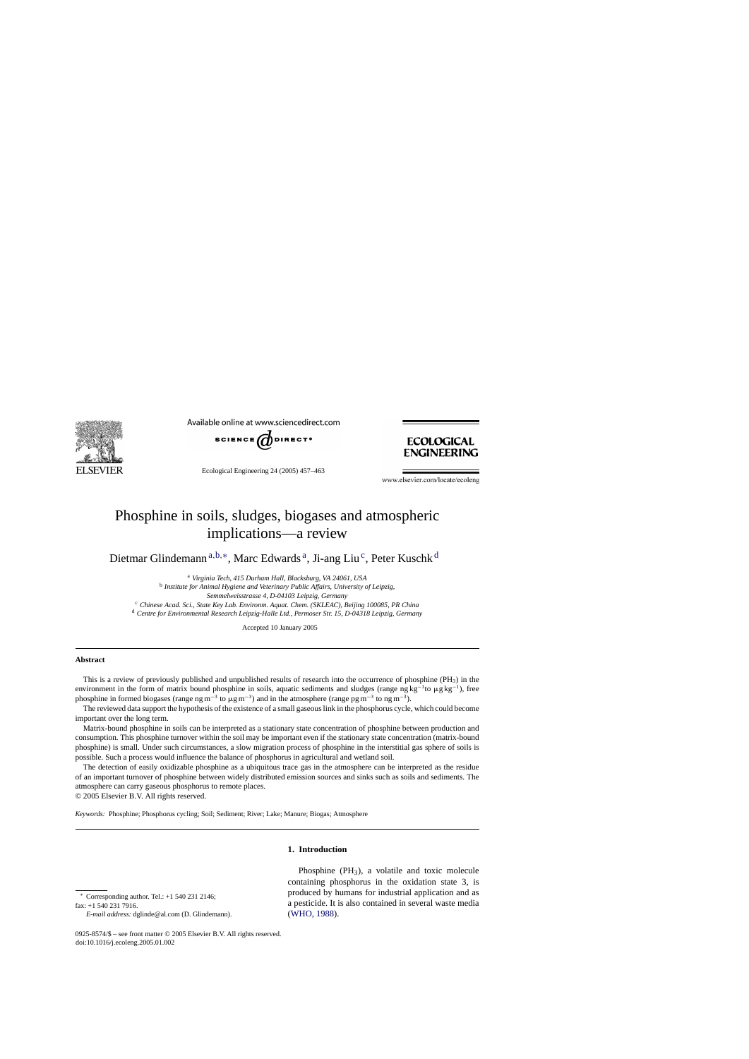

Available online at www.sciencedirect.com



Ecological Engineering 24 (2005) 457–463



www.elsevier.com/locate/ecoleng

# Phosphine in soils, sludges, biogases and atmospheric implications—a review

Dietmar Glindemann<sup>a, b,∗</sup>, Marc Edwards<sup>a</sup>, Ji-ang Liu<sup>c</sup>, Peter Kuschk<sup>d</sup>

<sup>a</sup> *Virginia Tech, 415 Durham Hall, Blacksburg, VA 24061, USA* <sup>b</sup> *Institute for Animal Hygiene and Veterinary Public Affairs, University of Leipzig, Semmelweisstrasse 4, D-04103 Leipzig, Germany* <sup>c</sup> *Chinese Acad. Sci., State Key Lab. Environm. Aquat. Chem. (SKLEAC), Beijing 100085, PR China*

<sup>d</sup> *Centre for Environmental Research Leipzig-Halle Ltd., Permoser Str. 15, D-04318 Leipzig, Germany*

Accepted 10 January 2005

## **Abstract**

This is a review of previously published and unpublished results of research into the occurrence of phosphine  $(PH_3)$  in the environment in the form of matrix bound phosphine in soils, aquatic sediments and sludges (range ng kg<sup>-1</sup>to  $\mu$ g kg<sup>-1</sup>), free phosphine in formed biogases (range ng m<sup>-3</sup> to  $\mu$ g m<sup>-3</sup>) and in the atmosphere (range pg m<sup>-3</sup> to ng m<sup>-3</sup>).

The reviewed data support the hypothesis of the existence of a small gaseous link in the phosphorus cycle, which could become important over the long term.

Matrix-bound phosphine in soils can be interpreted as a stationary state concentration of phosphine between production and consumption. This phosphine turnover within the soil may be important even if the stationary state concentration (matrix-bound phosphine) is small. Under such circumstances, a slow migration process of phosphine in the interstitial gas sphere of soils is possible. Such a process would influence the balance of phosphorus in agricultural and wetland soil.

The detection of easily oxidizable phosphine as a ubiquitous trace gas in the atmosphere can be interpreted as the residue of an important turnover of phosphine between widely distributed emission sources and sinks such as soils and sediments. The atmosphere can carry gaseous phosphorus to remote places. © 2005 Elsevier B.V. All rights reserved.

*Keywords:* Phosphine; Phosphorus cycling; Soil; Sediment; River; Lake; Manure; Biogas; Atmosphere

# **1. Introduction**

∗ Corresponding author. Tel.: +1 540 231 2146;

fax: +1 540 231 7916.

Phosphine (PH3), a volatile and toxic molecule containing phosphorus in the oxidation state 3, is produced by humans for industrial application and as a pesticide. It is also contained in several waste media [\(WHO, 1988\).](#page-6-0)

*E-mail address:* dglinde@al.com (D. Glindemann).

<sup>0925-8574/\$ –</sup> see front matter © 2005 Elsevier B.V. All rights reserved. doi:10.1016/j.ecoleng.2005.01.002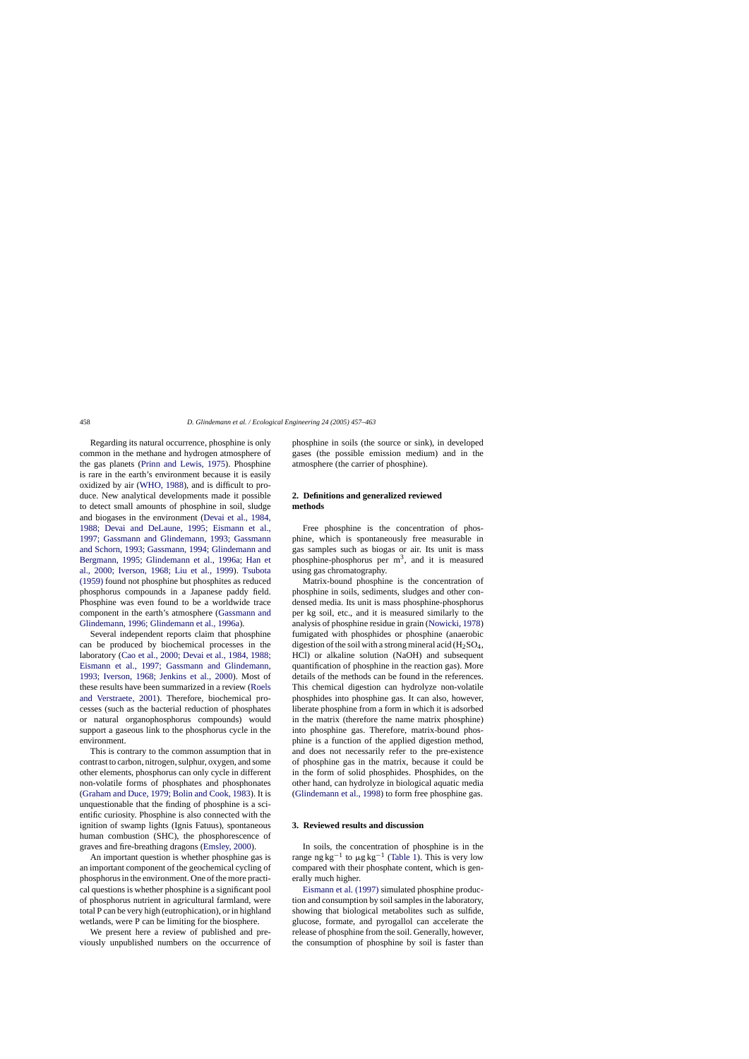Regarding its natural occurrence, phosphine is only common in the methane and hydrogen atmosphere of the gas planets ([Prinn and Lewis, 1975\)](#page-6-0). Phosphine is rare in the earth's environment because it is easily oxidized by air [\(WHO, 1988\),](#page-6-0) and is difficult to produce. New analytical developments made it possible to detect small amounts of phosphine in soil, sludge and biogases in the environment [\(Devai et al., 1984,](#page-6-0) [1988; Devai and DeLaune, 1995; Eismann et al.,](#page-6-0) [1997; Gassmann and Glindemann, 1993; Gassmann](#page-6-0) [and Schorn, 1993; Gassmann, 1994; Glindemann and](#page-6-0) [Bergmann, 1995; Glindemann et al., 1996a; Han et](#page-6-0) [al., 2000; Iverson, 1968; Liu et al., 199](#page-6-0)9). [Tsubota](#page-6-0) [\(1959\)](#page-6-0) found not phosphine but phosphites as reduced phosphorus compounds in a Japanese paddy field. Phosphine was even found to be a worldwide trace component in the earth's atmosphere ([Gassmann and](#page-6-0) [Glindemann, 1996; Glindemann et al., 1996a\).](#page-6-0)

Several independent reports claim that phosphine can be produced by biochemical processes in the laboratory ([Cao et al., 2000; Devai et al., 1984, 1988;](#page-5-0) [Eismann et al., 1997; Gassmann and Glindemann,](#page-5-0) [1993; Iverson, 1968; Jenkins et al., 200](#page-5-0)0). Most of these results have been summarized in a review [\(Roels](#page-6-0) [and Verstraete, 2001](#page-6-0)). Therefore, biochemical processes (such as the bacterial reduction of phosphates or natural organophosphorus compounds) would support a gaseous link to the phosphorus cycle in the environment.

This is contrary to the common assumption that in contrast to carbon, nitrogen, sulphur, oxygen, and some other elements, phosphorus can only cycle in different non-volatile forms of phosphates and phosphonates ([Graham and Duce, 1979; Bolin and Cook, 1983\).](#page-6-0) It is unquestionable that the finding of phosphine is a scientific curiosity. Phosphine is also connected with the ignition of swamp lights (Ignis Fatuus), spontaneous human combustion (SHC), the phosphorescence of graves and fire-breathing dragons ([Emsley, 2000\).](#page-6-0)

An important question is whether phosphine gas is an important component of the geochemical cycling of phosphorus in the environment. One of the more practical questions is whether phosphine is a significant pool of phosphorus nutrient in agricultural farmland, were total P can be very high (eutrophication), or in highland wetlands, were P can be limiting for the biosphere.

We present here a review of published and previously unpublished numbers on the occurrence of phosphine in soils (the source or sink), in developed gases (the possible emission medium) and in the atmosphere (the carrier of phosphine).

# **2. Definitions and generalized reviewed methods**

Free phosphine is the concentration of phosphine, which is spontaneously free measurable in gas samples such as biogas or air. Its unit is mass phosphine-phosphorus per  $m<sup>3</sup>$ , and it is measured using gas chromatography.

Matrix-bound phosphine is the concentration of phosphine in soils, sediments, sludges and other condensed media. Its unit is mass phosphine-phosphorus per kg soil, etc., and it is measured similarly to the analysis of phosphine residue in grain [\(Nowicki, 1978\)](#page-6-0) fumigated with phosphides or phosphine (anaerobic digestion of the soil with a strong mineral acid  $(H_2SO_4,$ HCl) or alkaline solution (NaOH) and subsequent quantification of phosphine in the reaction gas). More details of the methods can be found in the references. This chemical digestion can hydrolyze non-volatile phosphides into phosphine gas. It can also, however, liberate phosphine from a form in which it is adsorbed in the matrix (therefore the name matrix phosphine) into phosphine gas. Therefore, matrix-bound phosphine is a function of the applied digestion method, and does not necessarily refer to the pre-existence of phosphine gas in the matrix, because it could be in the form of solid phosphides. Phosphides, on the other hand, can hydrolyze in biological aquatic media ([Glindemann et al., 1998\)](#page-6-0) to form free phosphine gas.

#### **3. Reviewed results and discussion**

In soils, the concentration of phosphine is in the range ng kg<sup>-1</sup> to  $\mu$ g kg<sup>-1</sup> [\(Table 1\).](#page-2-0) This is very low compared with their phosphate content, which is generally much higher.

[Eismann et al. \(1997\)](#page-6-0) simulated phosphine production and consumption by soil samples in the laboratory, showing that biological metabolites such as sulfide, glucose, formate, and pyrogallol can accelerate the release of phosphine from the soil. Generally, however, the consumption of phosphine by soil is faster than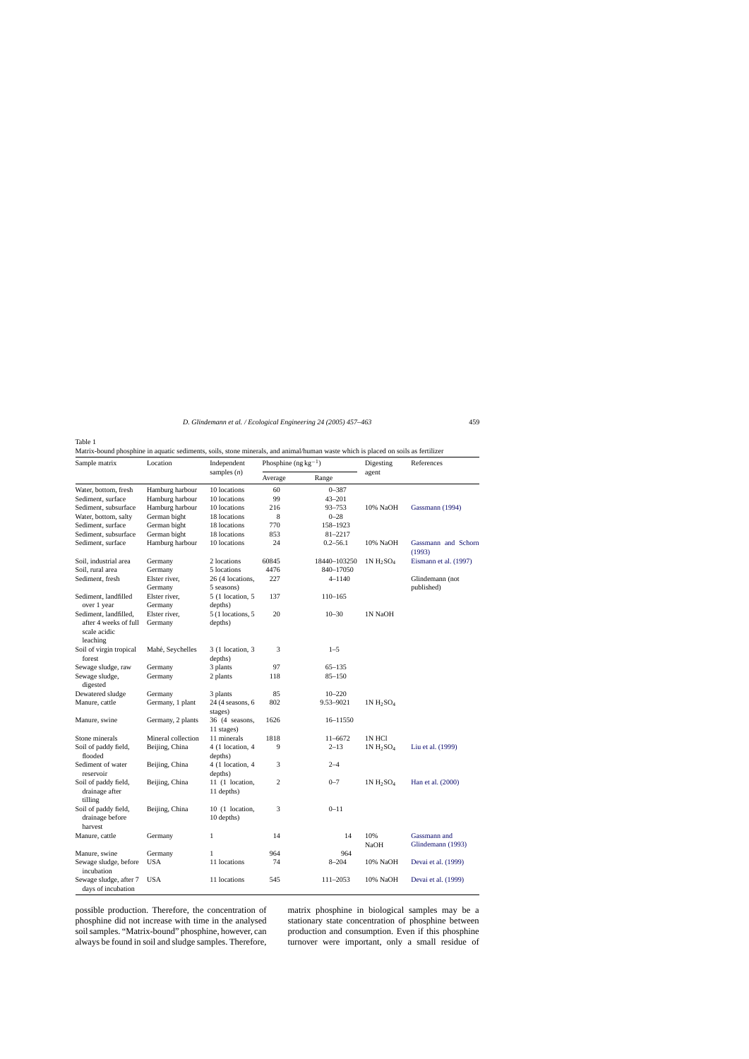<span id="page-2-0"></span>Table 1

Matrix-bound phosphine in aquatic sediments, soils, stone minerals, and animal/human waste which is placed on soils as fertilizer

| Sample matrix                                      | Location           | Independent<br>samples $(n)$  | Phosphine $(ng kg^{-1})$ |              | Digesting     | References                        |
|----------------------------------------------------|--------------------|-------------------------------|--------------------------|--------------|---------------|-----------------------------------|
|                                                    |                    |                               | Average                  | Range        | agent         |                                   |
| Water, bottom, fresh                               | Hamburg harbour    | 10 locations                  | 60                       | $0 - 387$    |               |                                   |
| Sediment, surface                                  | Hamburg harbour    | 10 locations                  | 99                       | $43 - 201$   |               |                                   |
| Sediment, subsurface                               | Hamburg harbour    | 10 locations                  | 216                      | 93-753       | 10% NaOH      | Gassmann (1994)                   |
| Water, bottom, salty                               | German bight       | 18 locations                  | 8                        | $0 - 28$     |               |                                   |
| Sediment, surface                                  | German bight       | 18 locations                  | 770                      | 158-1923     |               |                                   |
| Sediment, subsurface                               | German bight       | 18 locations                  | 853                      | 81-2217      |               |                                   |
| Sediment, surface                                  | Hamburg harbour    | 10 locations                  | 24                       | $0.2 - 56.1$ | 10% NaOH      | Gassmann and Schorn<br>(1993)     |
| Soil, industrial area                              | Germany            | 2 locations                   | 60845                    | 18440-103250 | $1N H_2SO_4$  | Eismann et al. (1997)             |
| Soil, rural area                                   | Germany            | 5 locations                   | 4476                     | 840-17050    |               |                                   |
| Sediment, fresh                                    | Elster river,      | 26 (4 locations,              | 227                      | 4-1140       |               | Glindemann (not                   |
|                                                    | Germany            | 5 seasons)                    |                          |              |               | published)                        |
| Sediment, landfilled                               | Elster river,      | 5 (1 location, 5              | 137                      | $110 - 165$  |               |                                   |
| over 1 year                                        | Germany            | depths)                       |                          |              |               |                                   |
| Sediment, landfilled,                              | Elster river,      | 5 (1 locations, 5             | 20                       | $10 - 30$    | 1N NaOH       |                                   |
| after 4 weeks of full<br>scale acidic<br>leaching  | Germany            | depths)                       |                          |              |               |                                   |
| Soil of virgin tropical<br>forest                  | Mahé, Seychelles   | 3 (1 location, 3<br>depths)   | 3                        | $1 - 5$      |               |                                   |
| Sewage sludge, raw                                 | Germany            | 3 plants                      | 97                       | $65 - 135$   |               |                                   |
| Sewage sludge,<br>digested                         | Germany            | 2 plants                      | 118                      | $85 - 150$   |               |                                   |
| Dewatered sludge                                   | Germany            | 3 plants                      | 85                       | $10 - 220$   |               |                                   |
| Manure, cattle                                     | Germany, 1 plant   | 24 (4 seasons, 6<br>stages)   | 802                      | 9.53-9021    | $1N H_2SO_4$  |                                   |
| Manure, swine                                      | Germany, 2 plants  | 36 (4 seasons,<br>11 stages)  | 1626                     | 16-11550     |               |                                   |
| Stone minerals                                     | Mineral collection | 11 minerals                   | 1818                     | $11 - 6672$  | <b>1N HCl</b> |                                   |
| Soil of paddy field,                               | Beijing, China     | $4(1$ location, $4$           | 9                        | $2 - 13$     | $1N H_2SO_4$  | Liu et al. (1999)                 |
| flooded                                            |                    | depths)                       |                          |              |               |                                   |
| Sediment of water<br>reservoir                     | Beijing, China     | 4 (1 location, 4<br>depths)   | 3                        | $2 - 4$      |               |                                   |
| Soil of paddy field,<br>drainage after<br>tilling  | Beijing, China     | 11 (1 location,<br>11 depths) | $\overline{2}$           | $0 - 7$      | $1N H_2SO_4$  | Han et al. (2000)                 |
| Soil of paddy field,<br>drainage before<br>harvest | Beijing, China     | 10 (1 location,<br>10 depths) | 3                        | $0 - 11$     |               |                                   |
| Manure, cattle                                     | Germany            | $\mathbf{1}$                  | 14                       | 14           | 10%<br>NaOH   | Gassmann and<br>Glindemann (1993) |
| Manure, swine                                      | Germany            | $\mathbf{1}$                  | 964                      | 964          |               |                                   |
| Sewage sludge, before<br>incubation                | <b>USA</b>         | 11 locations                  | 74                       | $8 - 204$    | 10% NaOH      | Devai et al. (1999)               |
| Sewage sludge, after 7<br>days of incubation       | <b>USA</b>         | 11 locations                  | 545                      | 111-2053     | 10% NaOH      | Devai et al. (1999)               |

possible production. Therefore, the concentration of phosphine did not increase with time in the analysed soil samples. "Matrix-bound" phosphine, however, can always be found in soil and sludge samples. Therefore, matrix phosphine in biological samples may be a stationary state concentration of phosphine between production and consumption. Even if this phosphine turnover were important, only a small residue of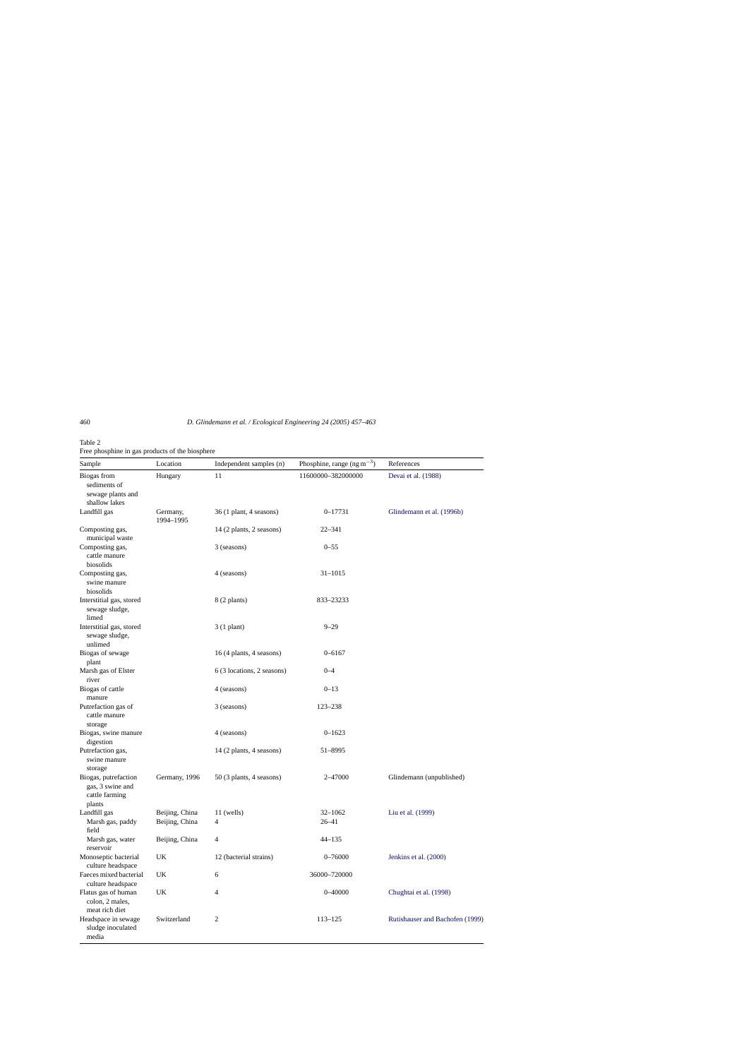<span id="page-3-0"></span>

|  | ×<br>٠<br>. . | I<br>۰, |  |
|--|---------------|---------|--|
|  |               |         |  |
|  |               |         |  |
|  |               |         |  |

# Table 2

Free phosphine in gas products of the biosphere

| Sample                                                               | Location                         | Independent samples $(n)$  | Phosphine, range $(ng m^{-3})$ | References                      |
|----------------------------------------------------------------------|----------------------------------|----------------------------|--------------------------------|---------------------------------|
| Biogas from<br>sediments of<br>sewage plants and<br>shallow lakes    | Hungary                          | 11                         | 11600000-382000000             | Devai et al. (1988)             |
| Landfill gas                                                         | Germany,<br>1994-1995            | $36(1$ plant, 4 seasons)   | $0 - 17731$                    | Glindemann et al. (1996b)       |
| Composting gas,<br>municipal waste                                   |                                  | 14 (2 plants, 2 seasons)   | $22 - 341$                     |                                 |
| Composting gas,<br>cattle manure<br>biosolids                        |                                  | 3 (seasons)                | $0 - 55$                       |                                 |
| Composting gas,<br>swine manure<br>biosolids                         |                                  | 4 (seasons)                | $31 - 1015$                    |                                 |
| Interstitial gas, stored<br>sewage sludge,<br>limed                  |                                  | 8 (2 plants)               | 833-23233                      |                                 |
| Interstitial gas, stored<br>sewage sludge,<br>unlimed                |                                  | $3(1$ plant)               | $9 - 29$                       |                                 |
| Biogas of sewage<br>plant                                            |                                  | 16 (4 plants, 4 seasons)   | $0 - 6167$                     |                                 |
| Marsh gas of Elster<br>river                                         |                                  | 6 (3 locations, 2 seasons) | $0 - 4$                        |                                 |
| Biogas of cattle<br>manure                                           |                                  | 4 (seasons)                | $0 - 13$                       |                                 |
| Putrefaction gas of<br>cattle manure<br>storage                      |                                  | 3 (seasons)                | 123-238                        |                                 |
| Biogas, swine manure<br>digestion                                    |                                  | 4 (seasons)                | $0 - 1623$                     |                                 |
| Putrefaction gas,<br>swine manure<br>storage                         |                                  | 14 (2 plants, 4 seasons)   | 51-8995                        |                                 |
| Biogas, putrefaction<br>gas, 3 swine and<br>cattle farming<br>plants | Germany, 1996                    | 50 (3 plants, 4 seasons)   | 2-47000                        | Glindemann (unpublished)        |
| Landfill gas<br>Marsh gas, paddy<br>field                            | Beijing, China<br>Beijing, China | $11$ (wells)<br>4          | $32 - 1062$<br>$26 - 41$       | Liu et al. (1999)               |
| Marsh gas, water<br>reservoir                                        | Beijing, China                   | 4                          | $44 - 135$                     |                                 |
| Monoseptic bacterial<br>culture headspace                            | UK                               | 12 (bacterial strains)     | $0 - 76000$                    | Jenkins et al. (2000)           |
| Faeces mixed bacterial<br>culture headspace                          | UK                               | 6                          | 36000-720000                   |                                 |
| Flatus gas of human<br>colon, 2 males,<br>meat rich diet             | UK                               | $\overline{4}$             | $0 - 40000$                    | Chughtai et al. (1998)          |
| Headspace in sewage<br>sludge inoculated<br>media                    | Switzerland                      | $\overline{c}$             | $113 - 125$                    | Rutishauser and Bachofen (1999) |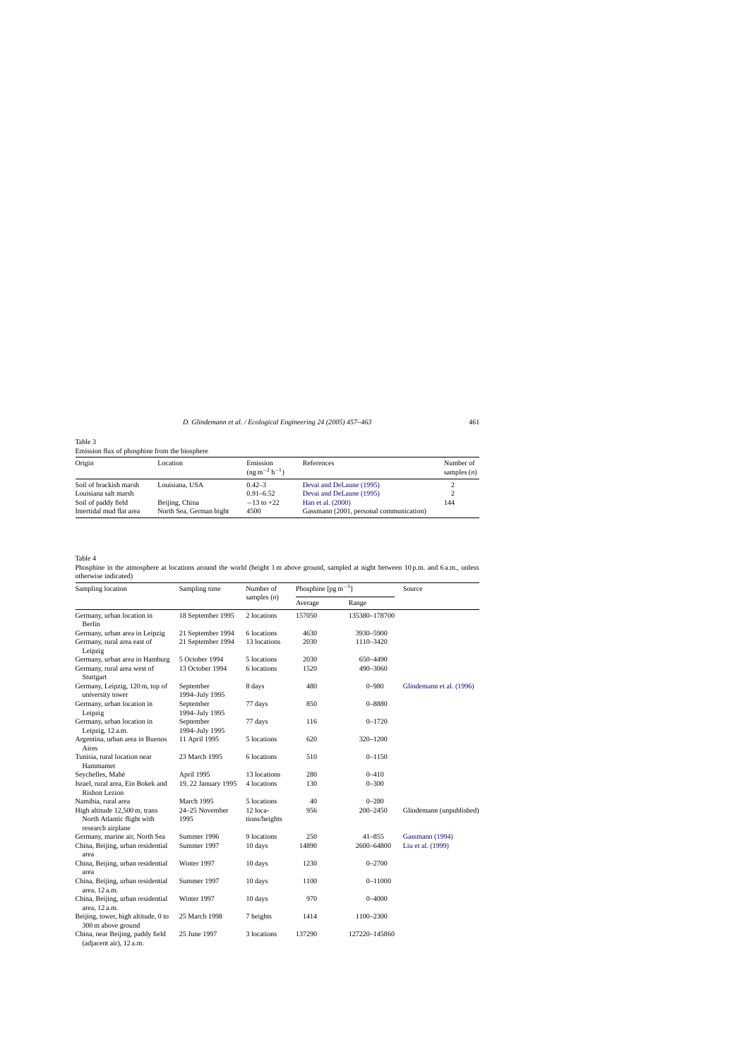<span id="page-4-0"></span>

| Table 3                                       |  |
|-----------------------------------------------|--|
| Emission flux of phosphine from the biosphere |  |

| Origin                   | Location                | Emission<br>$(ng m^{-2} h^{-1})$ | References                              | Number of<br>samples $(n)$ |  |  |
|--------------------------|-------------------------|----------------------------------|-----------------------------------------|----------------------------|--|--|
| Soil of brackish marsh   | Louisiana, USA          | $0.42 - 3$                       | Devai and DeLaune (1995)                |                            |  |  |
| Louisiana salt marsh     |                         | $0.91 - 6.52$                    | Devai and DeLaune (1995)                | 2                          |  |  |
| Soil of paddy field      | Beijing, China          | $-13$ to $+22$                   | Han et al. (2000)                       | 144                        |  |  |
| Intertidal mud flat area | North Sea, German bight | 4500                             | Gassmann (2001, personal communication) |                            |  |  |

Table 4

Phosphine in the atmosphere at locations around the world (height 1 m above ground, sampled at night between 10 p.m. and 6 a.m., unless otherwise indicated)

| Sampling location                                           | Sampling time               | Number of     | Phosphine $[pgm^{-3}]$ |               | Source                   |  |
|-------------------------------------------------------------|-----------------------------|---------------|------------------------|---------------|--------------------------|--|
|                                                             |                             | samples $(n)$ | Average                | Range         |                          |  |
| Germany, urban location in<br>Berlin                        | 18 September 1995           | 2 locations   | 157050                 | 135380-178700 |                          |  |
| Germany, urban area in Leipzig                              | 21 September 1994           | 6 locations   | 4630                   | 3930–5900     |                          |  |
| Germany, rural area east of<br>Leipzig                      | 21 September 1994           | 13 locations  | 2030                   | 1110-3420     |                          |  |
| Germany, urban area in Hamburg                              | 5 October 1994              | 5 locations   | 2030                   | 650-4490      |                          |  |
| Germany, rural area west of<br>Stuttgart                    | 13 October 1994             | 6 locations   | 1520                   | 490-3060      |                          |  |
| Germany, Leipzig, 120 m, top of<br>university tower         | September<br>1994-July 1995 | 8 days        | 480                    | $0 - 980$     | Glindemann et al. (1996) |  |
| Germany, urban location in<br>Leipzig                       | September<br>1994-July 1995 | 77 days       | 850                    | $0 - 8880$    |                          |  |
| Germany, urban location in<br>Leipzig, 12 a.m.              | September<br>1994-July 1995 | 77 days       | 116                    | $0 - 1720$    |                          |  |
| Argentina, urban area in Buenos<br>Aires                    | 11 April 1995               | 5 locations   | 620                    | 320-1200      |                          |  |
| Tunisia, rural location near<br>Hammamet                    | 23 March 1995               | 6 locations   | 510                    | $0 - 1150$    |                          |  |
| Seychelles, Mahé                                            | April 1995                  | 13 locations  | 280                    | $0 - 410$     |                          |  |
| Israel, rural area, Ein Bokek and<br><b>Rishon Lezion</b>   | 19, 22 January 1995         | 4 locations   | 130                    | $0 - 300$     |                          |  |
| Namibia, rural area                                         | March 1995                  | 5 locations   | 40                     | $0 - 280$     |                          |  |
| High altitude 12,500 m, trans                               | 24-25 November              | 12 loca-      | 956                    | 200-2450      | Glindemann (unpublished) |  |
| North Atlantic flight with<br>research airplane             | 1995                        | tions/heights |                        |               |                          |  |
| Germany, marine air, North Sea                              | Summer 1996                 | 9 locations   | 250                    | $41 - 855$    | Gassmann (1994)          |  |
| China, Beijing, urban residential<br>area                   | Summer 1997                 | 10 days       | 14890                  | 2600-64800    | Liu et al. (1999)        |  |
| China, Beijing, urban residential<br>area                   | Winter 1997                 | 10 days       | 1230                   | $0 - 2700$    |                          |  |
| China, Beijing, urban residential<br>area, 12 a.m.          | Summer 1997                 | 10 days       | 1100                   | $0 - 11000$   |                          |  |
| China, Beijing, urban residential<br>area, 12 a.m.          | Winter 1997                 | 10 days       | 970                    | $0 - 4000$    |                          |  |
| Beijing, tower, high altitude, 0 to<br>300 m above ground   | 25 March 1998               | 7 heights     | 1414                   | 1100-2300     |                          |  |
| China, near Beijing, paddy field<br>(adjacent air), 12 a.m. | 25 June 1997                | 3 locations   | 137290                 | 127220-145860 |                          |  |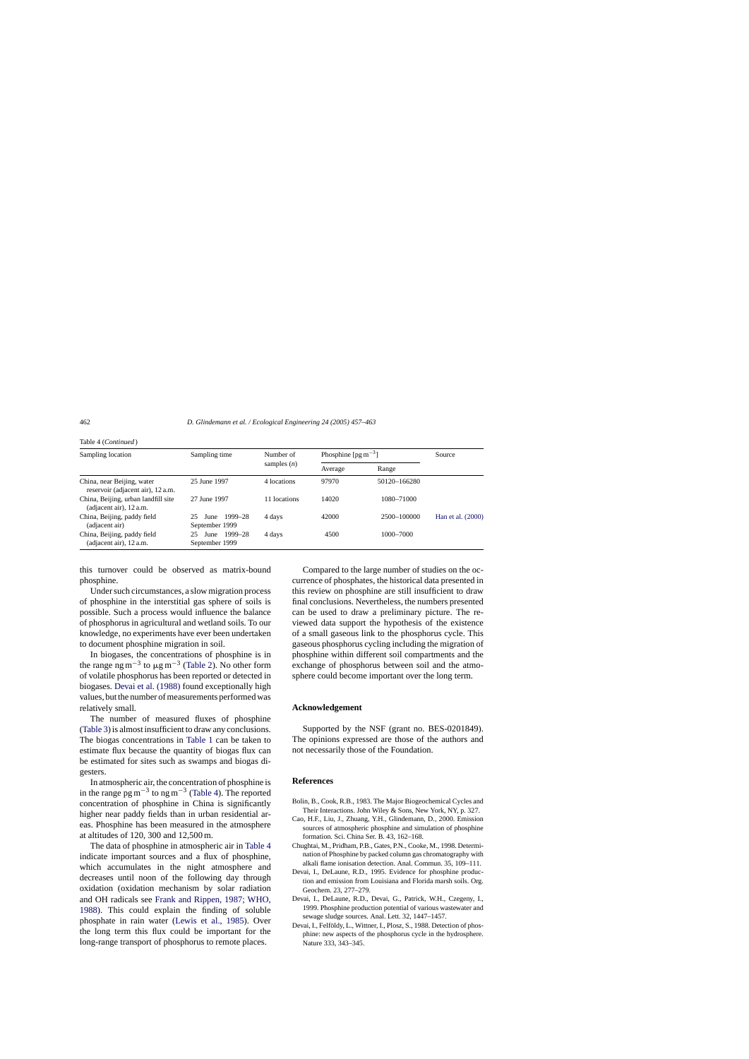| Sampling location                                               | Sampling time                           | Number of<br>samples $(n)$ | Phosphine $\lceil \text{pg } m^{-3} \rceil$ |              | Source            |
|-----------------------------------------------------------------|-----------------------------------------|----------------------------|---------------------------------------------|--------------|-------------------|
|                                                                 |                                         |                            | Average                                     | Range        |                   |
| China, near Beijing, water<br>reservoir (adjacent air), 12 a.m. | 25 June 1997                            | 4 locations                | 97970                                       | 50120-166280 |                   |
| China, Beijing, urban landfill site<br>(adjacent air), 12 a.m.  | 27 June 1997                            | 11 locations               | 14020                                       | 1080-71000   |                   |
| China, Beijing, paddy field<br>(adjacent air)                   | 1999–28<br>25<br>June<br>September 1999 | 4 days                     | 42000                                       | 2500-100000  | Han et al. (2000) |
| China, Beijing, paddy field<br>(adjacent air), 12 a.m.          | June 1999–28<br>25<br>September 1999    | 4 days                     | 4500                                        | 1000-7000    |                   |

this turnover could be observed as matrix-bound phosphine.

Under such circumstances, a slow migration process of phosphine in the interstitial gas sphere of soils is possible. Such a process would influence the balance of phosphorus in agricultural and wetland soils. To our knowledge, no experiments have ever been undertaken to document phosphine migration in soil.

In biogases, the concentrations of phosphine is in the range ng m<sup>-3</sup> to  $\mu$ g m<sup>-3</sup> [\(Table 2\).](#page-3-0) No other form of volatile phosphorus has been reported or detected in biogases. Devai et al. (1988) found exceptionally high values, but the number of measurements performed was relatively small.

The number of measured fluxes of phosphine ([Table 3\) i](#page-4-0)s almost insufficient to draw any conclusions. The biogas concentrations in [Table 1](#page-2-0) can be taken to estimate flux because the quantity of biogas flux can be estimated for sites such as swamps and biogas digesters.

In atmospheric air, the concentration of phosphine is in the range pg m<sup>-3</sup> to ng m<sup>-3</sup> [\(Table 4\).](#page-4-0) The reported concentration of phosphine in China is significantly higher near paddy fields than in urban residential areas. Phosphine has been measured in the atmosphere at altitudes of 120, 300 and 12,500 m.

The data of phosphine in atmospheric air in [Table 4](#page-4-0) indicate important sources and a flux of phosphine, which accumulates in the night atmosphere and decreases until noon of the following day through oxidation (oxidation mechanism by solar radiation and OH radicals see [Frank and Rippen, 1987; WHO,](#page-6-0) [1988\).](#page-6-0) This could explain the finding of soluble phosphate in rain water [\(Lewis et al., 1985](#page-6-0)). Over the long term this flux could be important for the long-range transport of phosphorus to remote places.

Compared to the large number of studies on the occurrence of phosphates, the historical data presented in this review on phosphine are still insufficient to draw final conclusions. Nevertheless, the numbers presented can be used to draw a preliminary picture. The reviewed data support the hypothesis of the existence of a small gaseous link to the phosphorus cycle. This gaseous phosphorus cycling including the migration of phosphine within different soil compartments and the exchange of phosphorus between soil and the atmosphere could become important over the long term.

## **Acknowledgement**

Supported by the NSF (grant no. BES-0201849). The opinions expressed are those of the authors and not necessarily those of the Foundation.

#### **References**

- Bolin, B., Cook, R.B., 1983. The Major Biogeochemical Cycles and Their Interactions. John Wiley & Sons, New York, NY, p. 327.
- Cao, H.F., Liu, J., Zhuang, Y.H., Glindemann, D., 2000. Emission sources of atmospheric phosphine and simulation of phosphine formation. Sci. China Ser. B. 43, 162–168.
- Chughtai, M., Pridham, P.B., Gates, P.N., Cooke, M., 1998. Determination of Phosphine by packed column gas chromatography with alkali flame ionisation detection. Anal. Commun. 35, 109–111.
- Devai, I., DeLaune, R.D., 1995. Evidence for phosphine production and emission from Louisiana and Florida marsh soils. Org. Geochem. 23, 277–279.
- Devai, I., DeLaune, R.D., Devai, G., Patrick, W.H., Czegeny, I., 1999. Phosphine production potential of various wastewater and sewage sludge sources. Anal. Lett. 32, 1447–1457.
- Devai, I., Felföldy, L., Wittner, I., Plosz, S., 1988. Detection of phosphine: new aspects of the phosphorus cycle in the hydrosphere. Nature 333, 343–345.

<span id="page-5-0"></span>Table 4 (*Continued* )